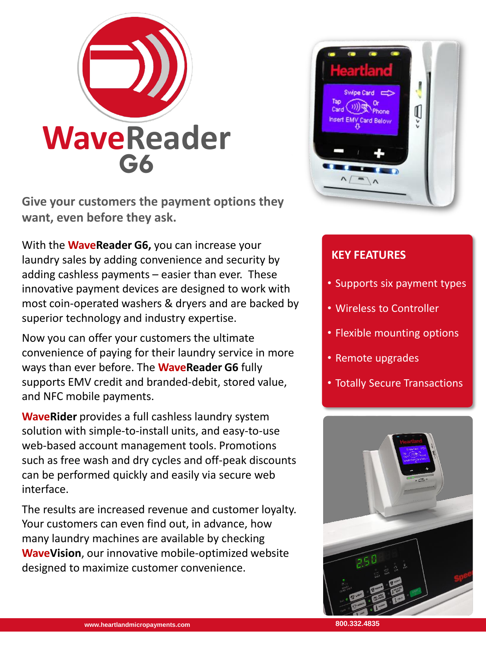

**Give your customers the payment options they want, even before they ask.**

With the **WaveReader G6,** you can increase your laundry sales by adding convenience and security by adding cashless payments – easier than ever. These innovative payment devices are designed to work with most coin-operated washers & dryers and are backed by superior technology and industry expertise.

Now you can offer your customers the ultimate convenience of paying for their laundry service in more ways than ever before. The **WaveReader G6** fully supports EMV credit and branded-debit, stored value, and NFC mobile payments.

**WaveRider** provides a full cashless laundry system solution with simple-to-install units, and easy-to-use web-based account management tools. Promotions such as free wash and dry cycles and off-peak discounts can be performed quickly and easily via secure web interface.

The results are increased revenue and customer loyalty. Your customers can even find out, in advance, how many laundry machines are available by checking **WaveVision**, our innovative mobile-optimized website designed to maximize customer convenience.



### **KEY FEATURES**

- Supports six payment types
- Wireless to Controller
- Flexible mounting options
- Remote upgrades
- Totally Secure Transactions